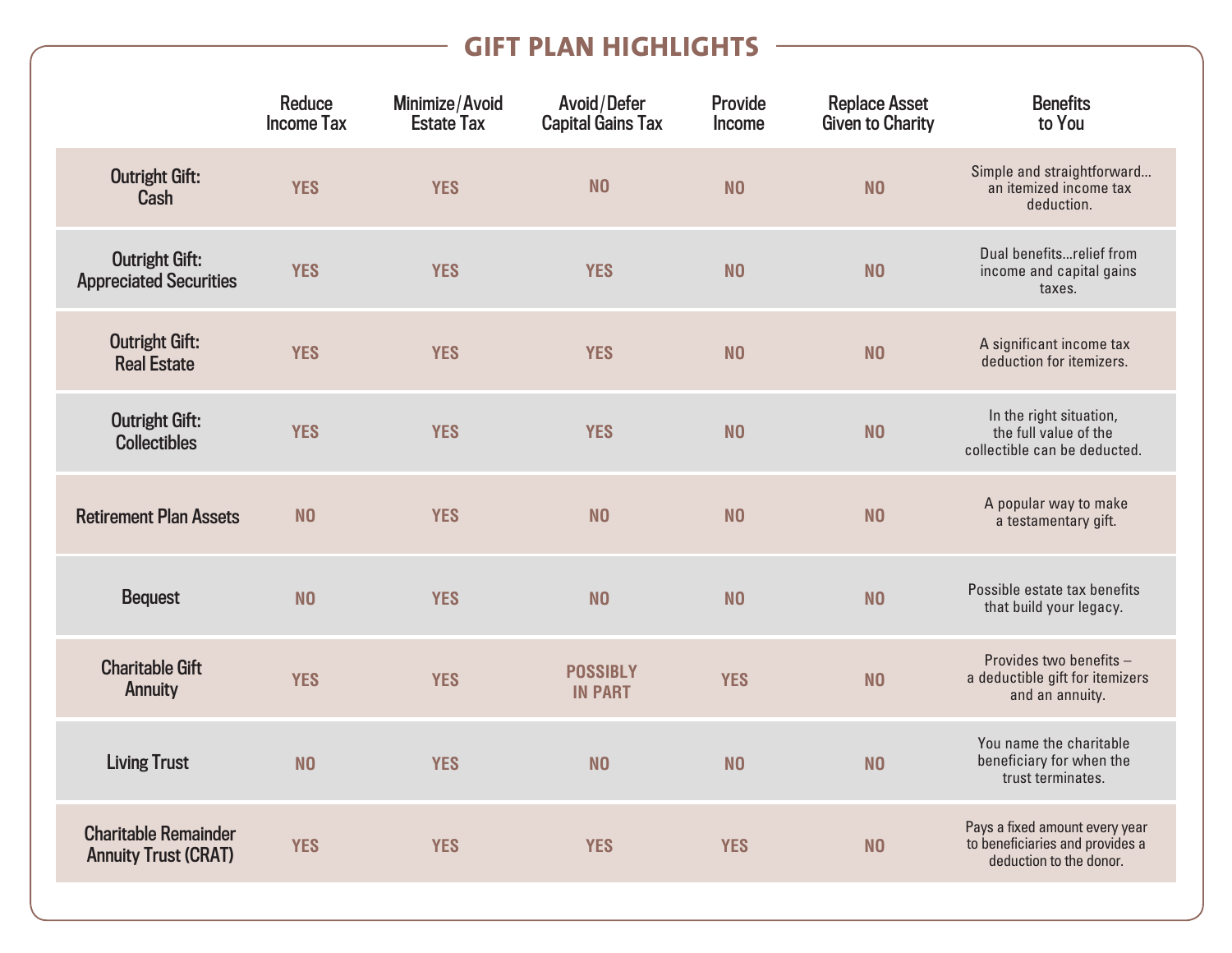## **GIFT PLAN HIGHLIGHTS**

|                                                            | <b>Reduce</b><br><b>Income Tax</b> | Minimize/Avoid<br><b>Estate Tax</b> | Avoid/Defer<br><b>Capital Gains Tax</b> | <b>Provide</b><br>Income | <b>Replace Asset</b><br>Given to Charity | <b>Benefits</b><br>to You                                                                    |
|------------------------------------------------------------|------------------------------------|-------------------------------------|-----------------------------------------|--------------------------|------------------------------------------|----------------------------------------------------------------------------------------------|
| <b>Outright Gift:</b><br><b>Cash</b>                       | <b>YES</b>                         | <b>YES</b>                          | N <sub>0</sub>                          | N <sub>0</sub>           | N <sub>0</sub>                           | Simple and straightforward<br>an itemized income tax<br>deduction.                           |
| <b>Outright Gift:</b><br><b>Appreciated Securities</b>     | <b>YES</b>                         | <b>YES</b>                          | <b>YES</b>                              | N <sub>0</sub>           | N <sub>0</sub>                           | Dual benefitsrelief from<br>income and capital gains<br>taxes.                               |
| <b>Outright Gift:</b><br><b>Real Estate</b>                | <b>YES</b>                         | <b>YES</b>                          | <b>YES</b>                              | N <sub>0</sub>           | N <sub>0</sub>                           | A significant income tax<br>deduction for itemizers.                                         |
| <b>Outright Gift:</b><br><b>Collectibles</b>               | <b>YES</b>                         | <b>YES</b>                          | <b>YES</b>                              | N <sub>0</sub>           | N <sub>0</sub>                           | In the right situation,<br>the full value of the<br>collectible can be deducted.             |
| <b>Retirement Plan Assets</b>                              | N <sub>0</sub>                     | <b>YES</b>                          | N <sub>0</sub>                          | N <sub>0</sub>           | N <sub>0</sub>                           | A popular way to make<br>a testamentary gift.                                                |
| <b>Bequest</b>                                             | N <sub>0</sub>                     | <b>YES</b>                          | N <sub>O</sub>                          | N <sub>0</sub>           | N <sub>0</sub>                           | Possible estate tax benefits<br>that build your legacy.                                      |
| <b>Charitable Gift</b><br>Annuity                          | <b>YES</b>                         | <b>YES</b>                          | <b>POSSIBLY</b><br><b>IN PART</b>       | <b>YES</b>               | N <sub>0</sub>                           | Provides two benefits -<br>a deductible gift for itemizers<br>and an annuity.                |
| <b>Living Trust</b>                                        | N <sub>0</sub>                     | <b>YES</b>                          | N <sub>0</sub>                          | N <sub>0</sub>           | N <sub>0</sub>                           | You name the charitable<br>beneficiary for when the<br>trust terminates.                     |
| <b>Charitable Remainder</b><br><b>Annuity Trust (CRAT)</b> | <b>YES</b>                         | <b>YES</b>                          | <b>YES</b>                              | <b>YES</b>               | N <sub>0</sub>                           | Pays a fixed amount every year<br>to beneficiaries and provides a<br>deduction to the donor. |